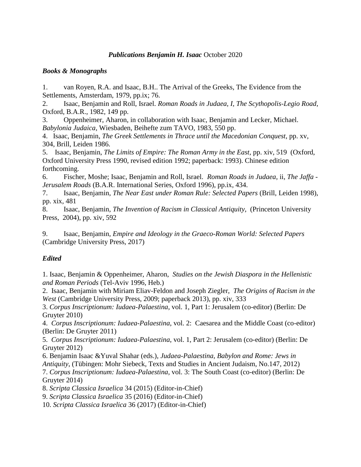#### *Publications Benjamin H. Isaac* October 2020

### *Books & Monographs*

1. van Royen, R.A. and Isaac, B.H.. The Arrival of the Greeks, The Evidence from the Settlements, Amsterdam, 1979, pp.ix; 76.

2. Isaac, Benjamin and Roll, Israel. *Roman Roads in Judaea, I, The Scythopolis-Legio Road*, Oxford, B.A.R., 1982, 149 pp.

3. Oppenheimer, Aharon, in collaboration with Isaac, Benjamin and Lecker, Michael. *Babylonia Judaica*, Wiesbaden, Beihefte zum TAVO, 1983, 550 pp.

4. Isaac, Benjamin, *The Greek Settlements in Thrace until the Macedonian Conquest*, pp. xv, 304, Brill, Leiden 1986.

5. Isaac, Benjamin, *The Limits of Empire: The Roman Army in the East*, pp. xiv, 519 (Oxford, Oxford University Press 1990, revised edition 1992; paperback: 1993). Chinese edition forthcoming.

6. Fischer, Moshe; Isaac, Benjamin and Roll, Israel. *Roman Roads in Judaea*, ii, *The Jaffa - Jerusalem Roads* (B.A.R. International Series, Oxford 1996), pp.ix, 434.

7. Isaac, Benjamin, *The Near East under Roman Rule: Selected Papers* (Brill, Leiden 1998), pp. xix, 481

8. Isaac, Benjamin, *The Invention of Racism in Classical Antiquity*, (Princeton University Press, 2004), pp. xiv, 592

9. Isaac, Benjamin, *Empire and Ideology in the Graeco-Roman World: Selected Papers* (Cambridge University Press, 2017)

### *Edited*

1. Isaac, Benjamin & Oppenheimer, Aharon, *Studies on the Jewish Diaspora in the Hellenistic and Roman Periods* (Tel-Aviv 1996, Heb.)

2. Isaac, Benjamin with Miriam Eliav-Feldon and Joseph Ziegler, *The Origins of Racism in the West* (Cambridge University Press, 2009; paperback 2013), pp. xiv, 333

3. *Corpus Inscriptionum: Iudaea-Palaestina*, vol. 1, Part 1: Jerusalem (co-editor) (Berlin: De Gruyter 2010)

4. *Corpus Inscriptionum: Iudaea-Palaestina*, vol. 2: Caesarea and the Middle Coast (co-editor) (Berlin: De Gruyter 2011)

5. *Corpus Inscriptionum: Iudaea-Palaestina*, vol. 1, Part 2: Jerusalem (co-editor) (Berlin: De Gruyter 2012)

6. Benjamin Isaac &Yuval Shahar (eds.), *Judaea-Palaestina, Babylon and Rome: Jews in Antiquity*, (Tübingen: Mohr Siebeck, Texts and Studies in Ancient Judaism, No.147, 2012) 7. *Corpus Inscriptionum: Iudaea-Palaestina*, vol. 3: The South Coast (co-editor) (Berlin: De

Gruyter 2014)

8. *Scripta Classica Israelica* 34 (2015) (Editor-in-Chief)

9. *Scripta Classica Israelica* 35 (2016) (Editor-in-Chief)

10. *Scripta Classica Israelica* 36 (2017) (Editor-in-Chief)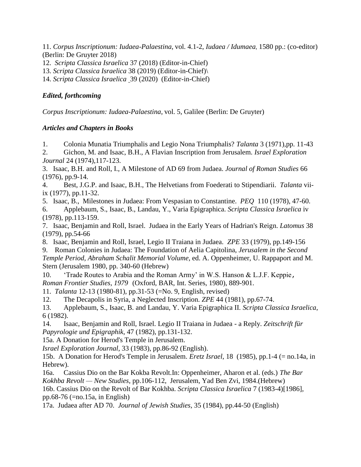11. *Corpus Inscriptionum: Iudaea-Palaestina*, vol. 4.1-2, *Iudaea / Idumaea*, 1580 pp.: (co-editor) (Berlin: De Gruyter 2018)

12. *Scripta Classica Israelica* 37 (2018) (Editor-in-Chief)

13. *Scripta Classica Israelica* 38 (2019) (Editor-in-Chief)\

14. *Scripta Classica Israelica* 39 (2020) (Editor-in-Chief)

## *Edited, forthcoming*

*Corpus Inscriptionum: Iudaea-Palaestina*, vol. 5, Galilee (Berlin: De Gruyter)

### *Articles and Chapters in Books*

1. Colonia Munatia Triumphalis and Legio Nona Triumphalis? *Talanta* 3 (1971),pp. 11-43

2. Gichon, M. and Isaac, B.H., A Flavian Inscription from Jerusalem. *Israel Exploration Journal* 24 (1974),117-123.

3. Isaac, B.H. and Roll, I., A Milestone of AD 69 from Judaea. *Journal of Roman Studies* 66 (1976), pp.9-14.

4. Best, J.G.P. and Isaac, B.H., The Helvetians from Foederati to Stipendiarii. *Talanta* viiix (1977), pp.11-32.

5. Isaac, B., Milestones in Judaea: From Vespasian to Constantine. *PEQ* 110 (1978), 47-60. 6. Applebaum, S., Isaac, B., Landau, Y., Varia Epigraphica. *Scripta Classica Israelica* iv

(1978), pp.113-159.

7. Isaac, Benjamin and Roll, Israel. Judaea in the Early Years of Hadrian's Reign. *Latomus* 38 (1979), pp.54-66

8. Isaac, Benjamin and Roll, Israel, Legio II Traiana in Judaea. *ZPE* 33 (1979), pp.149-156

9. Roman Colonies in Judaea: The Foundation of Aelia Capitolina, *Jerusalem in the Second Temple Period, Abraham Schalit Memorial Volume*, ed. A. Oppenheimer, U. Rappaport and M. Stern (Jerusalem 1980, pp. 340-60 (Hebrew)

10. 'Trade Routes to Arabia and the Roman Army' in W.S. Hanson & L.J.F. Keppie, *Roman Frontier Studies, 1979* (Oxford, BAR, Int. Series, 1980), 889-901.

11. *Talanta* 12-13 (1980-81), pp.31-53 (=No. 9, English, revised)

12. The Decapolis in Syria, a Neglected Inscription. *ZPE* 44 (1981), pp.67-74.

13. Applebaum, S., Isaac, B. and Landau, Y. Varia Epigraphica II. *Scripta Classica Israelica*, 6 (1982).

14. Isaac, Benjamin and Roll, Israel. Legio II Traiana in Judaea - a Reply. *Zeitschrift für Papyrologie und Epigraphik*, 47 (1982), pp.131-132.

15a. A Donation for Herod's Temple in Jerusalem.

*Israel Exploration Journal*, 33 (1983), pp.86-92 (English).

15b. A Donation for Herod's Temple in Jerusalem. *Eretz Israel*, 18 (1985), pp.1-4 (= no.14a, in Hebrew).

16a. Cassius Dio on the Bar Kokba Revolt.In: Oppenheimer, Aharon et al. (eds.) *The Bar Kokhba Revolt — New Studies*, pp.106-112, Jerusalem, Yad Ben Zvi, 1984.(Hebrew)

16b. Cassius Dio on the Revolt of Bar Kokhba. *Scripta Classica Israelica* 7 (1983-4)[1986], pp.68-76 (=no.15a, in English)

17a. Judaea after AD 70. *Journal of Jewish Studies*, 35 (1984), pp.44-50 (English)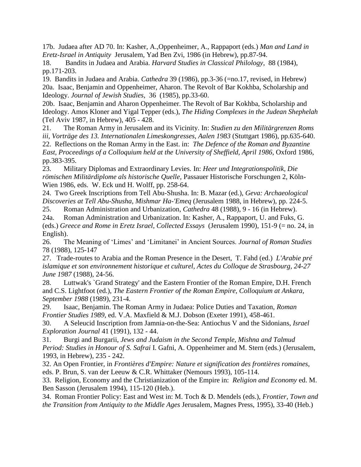17b. Judaea after AD 70. In: Kasher, A.,Oppenheimer, A., Rappaport (eds.) *Man and Land in Eretz-Israel in Antiquity* Jerusalem, Yad Ben Zvi, 1986 (in Hebrew), pp.87-94.

18. Bandits in Judaea and Arabia. *Harvard Studies in Classical Philology*, 88 (1984), pp.171-203.

19. Bandits in Judaea and Arabia. *Cathedra* 39 (1986), pp.3-36 (=no.17, revised, in Hebrew) 20a. Isaac, Benjamin and Oppenheimer, Aharon. The Revolt of Bar Kokhba, Scholarship and Ideology. *Journal of Jewish Studies*, 36 (1985), pp.33-60.

20b. Isaac, Benjamin and Aharon Oppenheimer. The Revolt of Bar Kokhba, Scholarship and Ideology. Amos Kloner and Yigal Tepper (eds.), *The Hiding Complexes in the Judean Shephelah* (Tel Aviv 1987, in Hebrew), 405 - 428.

21. The Roman Army in Jerusalem and its Vicinity. In: *Studien zu den Militärgrenzen Roms iii, Vorträge des 13. Internationalen Limeskongresses, Aalen 1983* (Stuttgart 1986), pp.635-640. 22. Reflections on the Roman Army in the East. in: *The Defence of the Roman and Byzantine East, Proceedings of a Colloquium held at the University of Sheffield, April 1986*, Oxford 1986, pp.383-395.

23. Military Diplomas and Extraordinary Levies. In: *Heer und Integrationspolitik, Die römischen Militärdiplome als historische Quelle*, Passauer Historische Forschungen 2, Köln-Wien 1986, eds. W. Eck und H. Wolff, pp. 258-64.

24. Two Greek Inscriptions from Tell Abu-Shusha. In: B. Mazar (ed.), *Geva: Archaeological Discoveries at Tell Abu-Shusha, Mishmar Ha-'Emeq* (Jerusalem 1988, in Hebrew), pp. 224-5.

25. Roman Administration and Urbanization, *Cathedra* 48 (1988), 9 - 16 (in Hebrew).

24a. Roman Administration and Urbanization. In: Kasher, A., Rappaport, U. and Fuks, G. (eds.) *Greece and Rome in Eretz Israel, Collected Essays* (Jerusalem 1990), 151-9 (= no. 24, in English).

26. The Meaning of 'Limes' and 'Limitanei' in Ancient Sources. *Journal of Roman Studies* 78 (1988), 125-147

27. Trade-routes to Arabia and the Roman Presence in the Desert, T. Fahd (ed.) *L'Arabie pré islamique et son environnement historique et culturel, Actes du Colloque de Strasbourg, 24-27 June 1987* (1988), 24-56.

28. Luttwak's `Grand Strategy' and the Eastern Frontier of the Roman Empire, D.H. French and C.S. Lightfoot (ed.), *The Eastern Frontier of the Roman Empire, Colloquium at Ankara, September 1988* (1989), 231-4.

29. Isaac, Benjamin. The Roman Army in Judaea: Police Duties and Taxation, *Roman Frontier Studies 1989*, ed. V.A. Maxfield & M.J. Dobson (Exeter 1991), 458-461.

30. A Seleucid Inscription from Jamnia-on-the-Sea: Antiochus V and the Sidonians, *Israel Exploration Journal* 41 (1991), 132 - 44.

31. Burgi and Burgarii, *Jews and Judaism in the Second Temple, Mishna and Talmud Period: Studies in Honour of S. Safrai* I. Gafni, A. Oppenheimer and M. Stern (eds.) (Jerusalem, 1993, in Hebrew), 235 - 242.

32. An Open Frontier, in *Frontières d'Empire: Nature et signification des frontières romaines*, eds. P. Brun, S. van der Leeuw & C.R. Whittaker (Nemours 1993), 105-114.

33. Religion, Economy and the Christianization of the Empire in: *Religion and Economy* ed. M. Ben Sasson (Jerusalem 1994), 115-120 (Heb.).

34. Roman Frontier Policy: East and West in: M. Toch & D. Mendels (eds.), *Frontier, Town and the Transition from Antiquity to the Middle Ages* Jerusalem, Magnes Press, 1995), 33-40 (Heb.)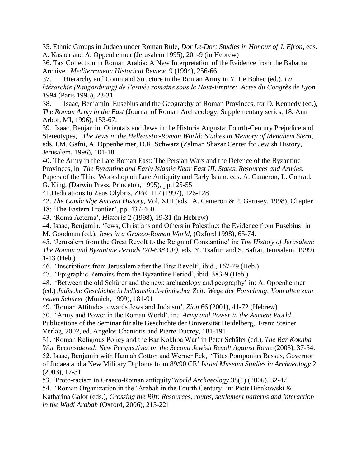35. Ethnic Groups in Judaea under Roman Rule, *Dor Le-Dor: Studies in Honour of J. Efron*, eds. A. Kasher and A. Oppenheimer (Jerusalem 1995), 201-9 (in Hebrew)

36. Tax Collection in Roman Arabia: A New Interpretation of the Evidence from the Babatha Archive, *Mediterranean Historical Review* 9 (1994), 256-66

37. Hierarchy and Command Structure in the Roman Army in Y. Le Bohec (ed.), *La hiérarchie (Rangordnung) de l'armée romaine sous le Haut-Empire: Actes du Congrès de Lyon 1994* (Paris 1995), 23-31.

38. Isaac, Benjamin. Eusebius and the Geography of Roman Provinces, for D. Kennedy (ed.), *The Roman Army in the East* (Journal of Roman Archaeology*,* Supplementary series, 18, Ann Arbor, MI, 1996), 153-67.

39. Isaac, Benjamin. Orientals and Jews in the Historia Augusta: Fourth-Century Prejudice and Stereotypes, *The Jews in the Hellenistic-Roman World: Studies in Memory of Menahem Stern*, eds. I.M. Gafni, A. Oppenheimer, D.R. Schwarz (Zalman Shazar Center for Jewish History, Jerusalem, 1996), 101-18

40. The Army in the Late Roman East: The Persian Wars and the Defence of the Byzantine Provinces, in *The Byzantine and Early Islamic Near East III. States, Resources and Armies.* Papers of the Third Workshop on Late Antiquity and Early Islam. eds. A. Cameron, L. Conrad, G. King, (Darwin Press, Princeton, 1995), pp.125-55

41.Dedications to Zeus Olybris, *ZPE* 117 (1997), 126-128

42. *The Cambridge Ancient History*, Vol. XIII (eds. A. Cameron & P. Garnsey, 1998), Chapter 18: 'The Eastern Frontier', pp. 437-460.

43. 'Roma Aeterna', *Historia* 2 (1998), 19-31 (in Hebrew)

44. Isaac, Benjamin. 'Jews, Christians and Others in Palestine: the Evidence from Eusebius' in

M. Goodman (ed.), *Jews in a Graeco-Roman World,* (Oxford 1998), 65-74.

45. 'Jerusalem from the Great Revolt to the Reign of Constantine' in: *The History of Jerusalem: The Roman and Byzantine Periods (70-638 CE),* eds. Y. Tsafrir and S. Safrai, Jerusalem, 1999), 1-13 (Heb.)

46. 'Inscriptions from Jerusalem after the First Revolt', ibid., 167-79 (Heb.)

47. 'Epigraphic Remains from the Byzantine Period', ibid. 383-9 (Heb.)

48. 'Between the old Schürer and the new: archaeology and geography' in: A. Oppenheimer

(ed.) *Jüdische Geschichte in hellenistisch-römischer Zeit: Wege der Forschung: Vom alten zum neuen Schürer* (Munich, 1999), 181-91

49. 'Roman Attitudes towards Jews and Judaism', *Zion* 66 (2001), 41-72 (Hebrew)

50. 'Army and Power in the Roman World', in*: Army and Power in the Ancient World*. Publications of the Seminar für alte Geschichte der Universität Heidelberg, Franz Steiner Verlag, 2002, ed. Angelos Chaniotis and Pierre Ducrey, 181-191.

51. 'Roman Religious Policy and the Bar Kokhba War' in Peter Schäfer (ed.), *The Bar Kokhba War Reconsidered: New Perspectives on the Second Jewish Revolt Against Rome (2003), 37-54.* 

52. Isaac, Benjamin with Hannah Cotton and Werner Eck, 'Titus Pomponius Bassus, Governor of Judaea and a New Military Diploma from 89/90 CE' *Israel Museum Studies in Archaeology* 2 (2003), 17-31

53. 'Proto-racism in Graeco-Roman antiquity'*World Archaeology* 38(1) (2006), 32-47.

54. 'Roman Organization in the 'Arabah in the Fourth Century' in: Piotr Bienkowski &

Katharina Galor (eds.), *Crossing the Rift: Resources, routes, settlement patterns and interaction in the Wadi Arabah* (Oxford, 2006), 215-221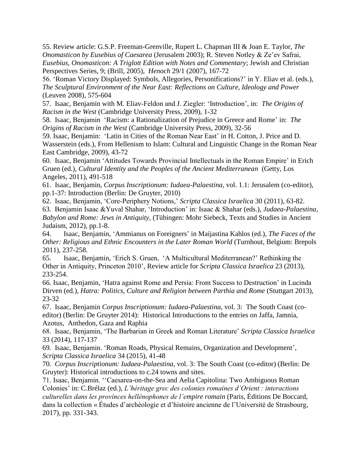55. Review article: G.S.P. Freeman-Grenville, Rupert L. Chapman III & Joan E. Taylor, *The Onomasticon by Eusebius of Caesarea* (Jerusalem 2003); R. Steven Notley & Ze'ev Safrai, *Eusebius, Onomasticon: A Triglott Edition with Notes and Commentary*; Jewish and Christian Perspectives Series, 9; (Brill, 2005), *Henoch* 29/1 (2007), 167-72

56. 'Roman Victory Displayed: Symbols, Allegories, Personifications?' in Y. Eliav et al. (eds.), *The Sculptural Environment of the Near East: Reflections on Culture, Ideology and Power*  (Leuven 2008), 575-604

57. Isaac, Benjamin with M. Eliav-Feldon and J. Ziegler: 'Introduction', in: *The Origins of Racism in the West* (Cambridge University Press, 2009), 1-32

58. Isaac, Benjamin 'Racism: a Rationalization of Prejudice in Greece and Rome' in: *The Origins of Racism in the West* (Cambridge University Press, 2009), 32-56

59. Isaac, Benjamin: 'Latin in Cities of the Roman Near East' in H. Cotton, J. Price and D. Wasserstein (eds.), From Hellenism to Islam: Cultural and Linguistic Change in the Roman Near East Cambridge, 2009), 43-72

60. Isaac, Benjamin 'Attitudes Towards Provincial Intellectuals in the Roman Empire' in Erich Gruen (ed.), *Cultural Identity and the Peoples of the Ancient Mediterranean* (Getty, Los Angeles, 2011), 491-518

61. Isaac, Benjamin, *Corpus Inscriptionum: Iudaea-Palaestina*, vol. 1.1: Jerusalem (co-editor), pp.1-37: Introduction (Berlin: De Gruyter, 2010)

62. Isaac, Benjamin, 'Core-Periphery Notions,' *Scripta Classica Israelica* 30 (2011), 63-82.

63. Benjamin Isaac &Yuval Shahar, 'Introduction' in: Isaac & Shahar (eds.), *Judaea-Palaestina, Babylon and Rome: Jews in Antiquity*, (Tübingen: Mohr Siebeck, Texts and Studies in Ancient Judaism, 2012), pp.1-8.

64. Isaac, Benjamin, 'Ammianus on Foreigners' in Maijastina Kahlos (ed.), *The Faces of the Other: Religious and Ethnic Encounters in the Later Roman World* (Turnhout, Belgium: Brepols 2011), 237-258.

65. Isaac, Benjamin, 'Erich S. Gruen, 'A Multicultural Mediterranean?' Rethinking the Other in Antiquity, Princeton 2010', Review article for *Scripta Classica Israelica* 23 (2013), 233-254.

66. Isaac, Benjamin, 'Hatra against Rome and Persia: From Success to Destruction' in Lucinda Dirven (ed.), *Hatra: Politics, Culture and Religion between Parthia and Rome* (Stuttgart 2013), 23-32

67. Isaac, Benjamin *Corpus Inscriptionum: Iudaea-Palaestina*, vol. 3: The South Coast (coeditor) (Berlin: De Gruyter 2014): Historical Introductions to the entries on Jaffa, Jamnia, Azotus, Anthedon, Gaza and Raphia

68. Isaac, Benjamin, 'The Barbarian in Greek and Roman Literature' *Scripta Classica Israelica* 33 (2014), 117-137

69. Isaac, Benjamin. 'Roman Roads, Physical Remains, Organization and Development', *Scripta Classica Israelica* 34 (2015), 41-48

70. *Corpus Inscriptionum: Iudaea-Palaestina*, vol. 3: The South Coast (co-editor) (Berlin: De Gruyter): Historical introductions to c.24 towns and sites.

71. Isaac, Benjamin. ''Caesarea-on-the-Sea and Aelia Capitolina: Two Ambiguous Roman Colonies' in: C.Brélaz (ed.), *L'héritage grec des colonies romaines d'Orient : interactions culturelles dans les provinces hellénophones de l'empire romain* (Paris, Éditions De Boccard, dans la collection « Études d'archéologie et d'histoire ancienne de l'Université de Strasbourg, 2017), pp. 331-343.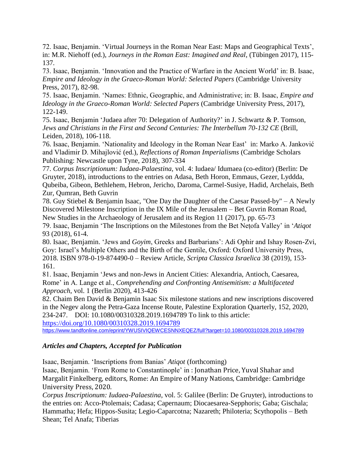72. Isaac, Benjamin. 'Virtual Journeys in the Roman Near East: Maps and Geographical Texts', in: M.R. Niehoff (ed.), *Journeys in the Roman East: Imagined and Real*, (Tübingen 2017), 115- 137*.*

73. Isaac, Benjamin. 'Innovation and the Practice of Warfare in the Ancient World' in: B. Isaac, *Empire and Ideology in the Graeco-Roman World: Selected Papers* (Cambridge University Press, 2017), 82-98.

75. Isaac, Benjamin. 'Names: Ethnic, Geographic, and Administrative; in: B. Isaac, *Empire and Ideology in the Graeco-Roman World: Selected Papers* (Cambridge University Press, 2017), 122-149.

75. Isaac, Benjamin 'Judaea after 70: Delegation of Authority?' in J. Schwartz & P. Tomson, *Jews and Christians in the First and Second Centuries: The Interbellum 70-132 CE* (Brill, Leiden, 2018), 106-118.

76. Isaac, Benjamin. 'Nationality and Ideology in the Roman Near East' in: Marko A. Janković and Vladimir D. Mihajlović (ed.), *Reflections of Roman Imperialisms* (Cambridge Scholars Publishing: Newcastle upon Tyne, 2018), 307-334

77. *Corpus Inscriptionum: Iudaea-Palaestina*, vol. 4: Iudaea/ Idumaea (co-editor) (Berlin: De Gruyter, 2018), introductions to the entries on Adasa, Beth Horon, Emmaus, Gezer, Lyddda, Qubeiba, Gibeon, Bethlehem, Hebron, Jericho, Daroma, Carmel-Susiye, Hadid, Archelais, Beth Zur, Qumran, Beth Guvrin

78. Guy Stiebel & Benjamin Isaac, "One Day the Daughter of the Caesar Passed-by" – A Newly Discovered Milestone Inscription in the IX Mile of the Jerusalem – Bet Guvrin Roman Road, New Studies in the Archaeology of Jerusalem and its Region 11 (2017), pp. 65-73

79. Isaac, Benjamin 'The Inscriptions on the Milestones from the Bet Neṭofa Valley' in '*Atiqot*  93 (2018), 61-4.

80. Isaac, Benjamin. 'Jews and *Goyim*, Greeks and Barbarians': Adi Ophir and Ishay Rosen-Zvi, Goy: Israel's Multiple Others and the Birth of the Gentile, Oxford: Oxford University Press, 2018. ISBN 978-0-19-874490-0 – Review Article, *Scripta Classica Israelica* 38 (2019), 153- 161.

81. Isaac, Benjamin 'Jews and non-Jews in Ancient Cities: Alexandria, Antioch, Caesarea, Rome' in A. Lange et al., *Comprehending and Confronting Antisemitism: a Multifaceted Approach*, vol. 1 (Berlin 2020), 413-426

82. Chaim Ben David & Benjamin Isaac Six milestone stations and new inscriptions discovered in the Negev along the Petra-Gaza Incense Route, Palestine Exploration Quarterly, 152, 2020, 234-247. DOI: 10.1080/00310328.2019.1694789 To link to this article:

<https://doi.org/10.1080/00310328.2019.1694789> <https://www.tandfonline.com/eprint/YWUSIVIQEWCESNNXEQEZ/full?target=10.1080/00310328.2019.1694789>

# *Articles and Chapters, Accepted for Publication*

Isaac, Benjamin. 'Inscriptions from Banias' *Atiqot* (forthcoming)

Isaac, Benjamin. 'From Rome to Constantinople' in : Jonathan Price, Yuval Shahar and Margalit Finkelberg, editors, Rome: An Empire of Many Nations, Cambridge: Cambridge University Press, 2020.

*Corpus Inscriptionum: Iudaea-Palaestina*, vol. 5: Galilee (Berlin: De Gruyter), introductions to the entries on: Acco-Ptolemais; Cadasa; Capernaum; Diocaesarea-Sepphoris; Gaba; Gischala; Hammatha; Hefa; Hippos-Susita; Legio-Caparcotna; Nazareth; Philoteria; Scythopolis – Beth Shean; Tel Anafa; Tiberias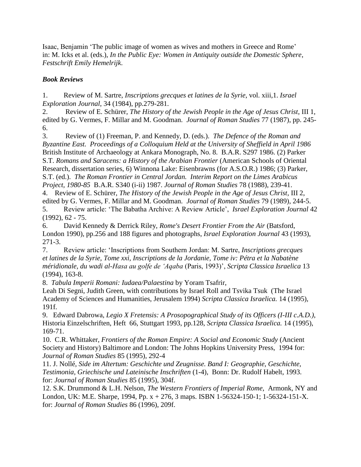Isaac, Benjamin 'The public image of women as wives and mothers in Greece and Rome' in: M. Icks et al. (eds.), *In the Public Eye: Women in Antiquity outside the Domestic Sphere*, *Festschrift Emily Hemelrijk*.

## *Book Reviews*

1. Review of M. Sartre, *Inscriptions grecques et latines de la Syrie*, vol. xiii,1. *Israel Exploration Journal*, 34 (1984), pp.279-281.

2. Review of E. Schürer, *The History of the Jewish People in the Age of Jesus Christ*, III 1, edited by G. Vermes, F. Millar and M. Goodman. *Journal of Roman Studies* 77 (1987), pp. 245- 6.

3. Review of (1) Freeman, P. and Kennedy, D. (eds.). *The Defence of the Roman and Byzantine East. Proceedings of a Colloquium Held at the University of Sheffield in April 1986* British Institute of Archaeology at Ankara Monograph, No. 8. B.A.R. S297 1986. (2) Parker S.T. *Romans and Saracens: a History of the Arabian Frontier* (American Schools of Oriental Research, dissertation series, 6) Winnona Lake: Eisenbrawns (for A.S.O.R.) 1986; (3) Parker, S.T. (ed.). *The Roman Frontier in Central Jordan. Interim Report on the Limes Arabicus Project, 1980-85* B.A.R. S340 (i-ii) 1987. *Journal of Roman Studies* 78 (1988), 239-41.

4. Review of E. Schürer, *The History of the Jewish People in the Age of Jesus Christ*, III 2, edited by G. Vermes, F. Millar and M. Goodman. *Journal of Roman Studies* 79 (1989), 244-5. 5. Review article: 'The Babatha Archive: A Review Article', *Israel Exploration Journal* 42

(1992), 62 - 75.

6. David Kennedy & Derrick Riley, *Rome's Desert Frontier From the Air* (Batsford, London 1990), pp.256 and 188 figures and photographs, *Israel Exploration Journal* 43 (1993), 271-3.

7. Review article: 'Inscriptions from Southern Jordan: M. Sartre, *Inscriptions grecques et latines de la Syrie, Tome xxi, Inscriptions de la Jordanie, Tome iv: Pétra et la Nabatène méridionale, du wadi al-Hasa au golfe de 'Aqaba* (Paris, 1993)', *Scripta Classica Israelica* 13 (1994), 163-8.

8. *Tabula Imperii Romani: Iudaea/Palaestina* by Yoram Tsafrir,

Leah Di Segni, Judith Green, with contributions by Israel Roll and Tsvika Tsuk (The Israel Academy of Sciences and Humanities, Jerusalem 1994) *Scripta Classica Israelica.* 14 (1995), 191f.

9. Edward Dabrowa, *Legio X Fretensis: A Prosopographical Study of its Officers (I-III c.A.D.)*, Historia Einzelschriften, Heft 66, Stuttgart 1993, pp.128, *Scripta Classica Israelica.* 14 (1995), 169-71.

10. C.R. Whittaker, *Frontiers of the Roman Empire: A Social and Economic Study* (Ancient Society and History) Baltimore and London: The Johns Hopkins University Press, 1994 for: *Journal of Roman Studies* 85 (1995), 292-4

11. J. Nollé, *Side im Altertum: Geschichte und Zeugnisse. Band I: Geographie, Geschichte, Testimonia, Griechische und Lateinische Inschriften* (1-4), Bonn: Dr. Rudolf Habelt, 1993. for: *Journal of Roman Studies* 85 (1995), 304f.

12. S.K. Drummond & L.H. Nelson, *The Western Frontiers of Imperial Rome*, Armonk, NY and London, UK: M.E. Sharpe, 1994, Pp. x + 276, 3 maps. ISBN 1-56324-150-1; 1-56324-151-X. for: *Journal of Roman Studies* 86 (1996), 209f.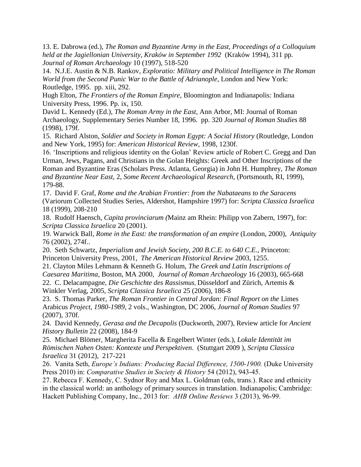13. E. Dabrowa (ed.), *The Roman and Byzantine Army in the East, Proceedings of a Colloquium held at the Jagiellonian University, Kraków in September 1992* (Kraków 1994), 311 pp. *Journal of Roman Archaeology* 10 (1997), 518-520

14. N.J.E. Austin & N.B. Rankov*, Exploratio: Military and Political Intelligence in The Roman World from the Second Punic War to the Battle of Adrianople*, London and New York: Routledge, 1995. pp. xiii, 292.

Hugh Elton, *The Frontiers of the Roman Empire*, Bloomington and Indianapolis: Indiana University Press, 1996. Pp. ix, 150.

David L. Kennedy (Ed.), *The Roman Army in the East*, Ann Arbor, MI: Journal of Roman Archaeology, Supplementary Series Number 18, 1996. pp. 320 *Journal of Roman Studies* 88 (1998), 179f.

15. Richard Alston, *Soldier and Society in Roman Egypt: A Social History* (Routledge, London and New York, 1995) for: *American Historical Review,* 1998, 1230f.

16. 'Inscriptions and religious identity on the Golan' Review article of Robert C. Gregg and Dan Urman, Jews, Pagans, and Christians in the Golan Heights: Greek and Other Inscriptions of the Roman and Byzantine Eras (Scholars Press. Atlanta, Georgia) in John H. Humphrey, *The Roman and Byzantine Near East*, 2, *Some Recent Archaeological Research*, (Portsmouth, RI, 1999), 179-88.

17. David F. Graf, *Rome and the Arabian Frontier: from the Nabataeans to the Saracens* (Variorum Collected Studies Series, Aldershot, Hampshire 1997) for: *Scripta Classica Israelica* 18 (1999), 208-210

18. Rudolf Haensch, *Capita provinciarum (*Mainz am Rhein: Philipp von Zabern, 1997), for: *Scripta Classica Israelica* 20 (2001).

19. Warwick Ball, *Rome in the East: the transformation of an empire* (London, 2000), *Antiquity*  76 (2002), 274f..

20. Seth Schwartz, *Imperialism and Jewish Society, 200 B.C.E. to 640 C.E.*, Princeton: Princeton University Press, 2001, *The American Historical Review* 2003, 1255.

21. Clayton Miles Lehmann & Kenneth G. Holum, *The Greek and Latin Inscriptions of Caesarea Maritima*, Boston, MA 2000, *Journal of Roman Archaeology* 16 (2003), 665-668 22. C. Delacampagne, *Die Geschichte des Rassismus,* Düsseldorf and Zürich, Artemis &

Winkler Verlag, 2005, *Scripta Classica Israelica* 25 (2006), 186-8

23. S. Thomas Parker, *The Roman Frontier in Central Jordan: Final Report on the* Limes Arabicus *Project, 1980-1989*, 2 vols., Washington, DC 2006, *Journal of Roman Studies* 97 (2007), 370f.

24. David Kennedy, *Gerasa and the Decapolis* (Duckworth, 2007), Review article for *Ancient History Bulletin* 22 (2008), 184-9

25. Michael Blömer, Margherita Facella & Engelbert Winter (eds.), *Lokale Identität im Römischen Nahen Osten: Kontexte und Perspektiven*. (Stuttgart 2009 ), *Scripta Classica Israelica* 31 (2012), 217-221

26. Vanita Seth, *Europe's Indians: Producing Racial Difference, 1500-1900.* (Duke University Press 2010) in: *Comparative Studies in Society & History* 54 (2012), 943-45.

27. Rebecca F. Kennedy, C. Sydnor Roy and Max L. Goldman (eds, trans.). Race and ethnicity in the classical world: an anthology of primary sources in translation. Indianapolis; Cambridge: Hackett Publishing Company, Inc., 2013 for: *AHB Online Reviews* 3 (2013), 96-99.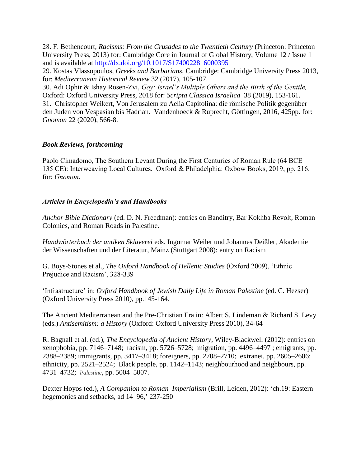28. F. Bethencourt, *Racisms: From the Crusades to the Twentieth Century* (Princeton: Princeton University Press, 2013) for: Cambridge Core in Journal of Global History, Volume 12 / Issue 1 and is available at<http://dx.doi.org/10.1017/S1740022816000395>

29. Kostas Vlassopoulos, *Greeks and Barbarians*, Cambridge: Cambridge University Press 2013, for: *Mediterranean Historical Review* 32 (2017), 105-107.

30. Adi Ophir & Ishay Rosen-Zvi, *Goy: Israel's Multiple Others and the Birth of the Gentile,*  Oxford: Oxford University Press, 2018 for: *Scripta Classica Israelica* 38 (2019), 153-161. 31. Christopher Weikert, Von Jerusalem zu Aelia Capitolina: die römische Politik gegenüber den Juden von Vespasian bis Hadrian. Vandenhoeck & Ruprecht, Göttingen, 2016, 425pp. for: *Gnomon* 22 (2020), 566-8.

### *Book Reviews, forthcoming*

Paolo Cimadomo, The Southern Levant During the First Centuries of Roman Rule (64 BCE – 135 CE): Interweaving Local Cultures. Oxford & Philadelphia: Oxbow Books, 2019, pp. 216. for: *Gnomon*.

### *Articles in Encyclopedia's and Handbooks*

*Anchor Bible Dictionary* (ed. D. N. Freedman): entries on Banditry, Bar Kokhba Revolt, Roman Colonies, and Roman Roads in Palestine.

*Handwörterbuch der antiken Sklaverei* eds. Ingomar Weiler und Johannes Deißler, Akademie der Wissenschaften und der Literatur, Mainz (Stuttgart 2008): entry on Racism

G. Boys-Stones et al., *The Oxford Handbook of Hellenic Studies* (Oxford 2009), 'Ethnic Prejudice and Racism', 328-339

'Infrastructure' in: *Oxford Handbook of Jewish Daily Life in Roman Palestine* (ed. C. Hezser) (Oxford University Press 2010), pp.145-164.

The Ancient Mediterranean and the Pre-Christian Era in: Albert S. Lindeman & Richard S. Levy (eds.) *Antisemitism: a History* (Oxford: Oxford University Press 2010), 34-64

R. Bagnall et al. (ed.), *The Encyclopedia of Ancient History*, Wiley-Blackwell (2012): entries on xenophobia, pp. 7146–7148; racism, pp. 5726–5728; migration, pp. 4496–4497 ; emigrants, pp. 2388–2389; immigrants, pp. 3417–3418; foreigners, pp. 2708–2710; extranei, pp. 2605–2606; ethnicity, pp. 2521–2524; Black people, pp. 1142–1143; neighbourhood and neighbours, pp. 4731–4732; *Palestine*, pp. 5004–5007.

Dexter Hoyos (ed.), *A Companion to Roman Imperialism* (Brill, Leiden, 2012): 'ch.19: Eastern hegemonies and setbacks, ad 14–96,' 237-250